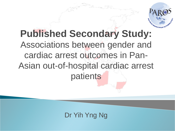

## **Published Secondary Study:**  Associations between gender and cardiac arrest outcomes in Pan-Asian out-of-hospital cardiac arrest patients

## Dr Yih Yng Ng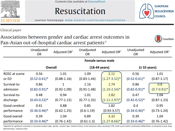

Contents lists available at ScienceDirect







Clinical paper

Associations between gender and cardiac arrest outcomes in Pan-Asian out-of-hospital cardiac arrest patients<sup>☆</sup>



|               | Unadjusted<br><b>OR</b>   | Adjusted OR <sup>^</sup> | Unadjusted<br><b>OR</b> | Adjusted OR <sup>^</sup> | Unadjusted<br><b>OR</b> | Adjusted OR <sup>^</sup> |
|---------------|---------------------------|--------------------------|-------------------------|--------------------------|-------------------------|--------------------------|
|               | <b>Female versus male</b> |                          |                         |                          |                         |                          |
|               | <b>Overall</b>            |                          | $(18-44 \text{ years})$ |                          | (≥ 55 years)            |                          |
| ROSC at scene | 0.56                      | 1.01                     | 1.09                    | 2.11                     | 0.56                    | 1.01                     |
| or ED         | $(0.52 - 0.61)^*$         | $(0.88 - 1.16)$          | $(0.83 - 1.44)$         | $(1.27 - 3.52)^*$        | $(0.52 - 0.61)^*$       | $(0.87 - 1.17)$          |
| Survival-to-  | 0.86                      | $\overline{1}$           | 1.16                    | 1.74                     | 0.86                    | 0.8                      |
| admission     | $(0.82 - 0.91)^*$         | $(0.92 - 1.09)$          | $(0.91 - 1.48)$         | $(1.19 - 2.54)^*$        | $(0.82 - 0.91)^*$       | $(0.7 - 0.91)^*$         |
| Survival-to-  | 0.48                      | 0.94                     | 1.01                    | 1.82                     | 0.47                    | 1.04                     |
| discharge     | $(0.43 - 0.52)^*$         | $(0.77 - 1.15)$          | $(0.77 - 1.32)$         | $(1.11 - 2.97)^*$        | $(0.42 - 0.52)^*$       | $(0.87 - 1.23)$          |
| Good cerebral | 0.41                      | 0.88                     | 0.85                    | 1.82                     | 0.4                     | 0.95                     |
| performance   | $(0.36 - 0.46)^*$         | $(0.62 - 1.25)$          | $(0.6 - 1.19)$          | $(0.93 - 3.57)$          | $(0.34 - 0.46)^*$       | $(0.73 - 1.24)$          |
| Good overall  | 0.39                      | 1.04                     | 0.89                    | 3.32                     | 0.39                    | 1.04                     |
| performance   | $(0.33 - 0.46)^*$         | $(0.76 - 1.42)$          | $(0.61-1.3)$            | $(1.27 - 8.66)^*$        | $(0.33 - 0.46)^*$       | $(0.76 - 1.42)$          |

^adjusted for significant covariates in univariate analysis (age, gender, location type, medical history, arrest witnesses status, bystander CPR, initial arrest rhythm, prehospital defibrillation, prehospital airway, drug administration, response time)